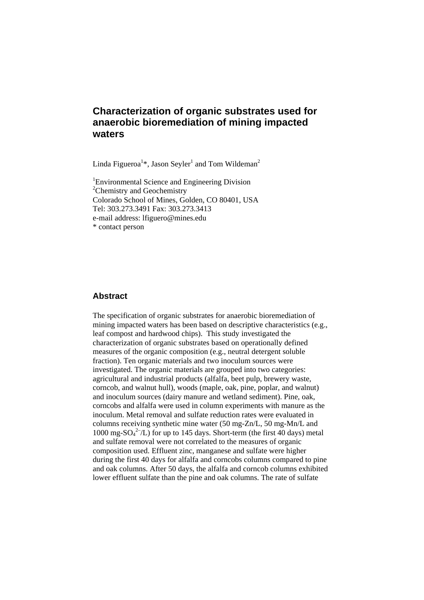# **Characterization of organic substrates used for anaerobic bioremediation of mining impacted waters**

Linda Figueroa<sup>1\*</sup>, Jason Seyler<sup>1</sup> and Tom Wildeman<sup>2</sup>

<sup>1</sup> Environmental Science and Engineering Division <sup>2</sup>Chemistry and Geochemistry Colorado School of Mines, Golden, CO 80401, USA Tel: 303.273.3491 Fax: 303.273.3413 e-mail address: lfiguero@mines.edu \* contact person

#### **Abstract**

The specification of organic substrates for anaerobic bioremediation of mining impacted waters has been based on descriptive characteristics (e.g., leaf compost and hardwood chips). This study investigated the characterization of organic substrates based on operationally defined measures of the organic composition (e.g., neutral detergent soluble fraction). Ten organic materials and two inoculum sources were investigated. The organic materials are grouped into two categories: agricultural and industrial products (alfalfa, beet pulp, brewery waste, corncob, and walnut hull), woods (maple, oak, pine, poplar, and walnut) and inoculum sources (dairy manure and wetland sediment). Pine, oak, corncobs and alfalfa were used in column experiments with manure as the inoculum. Metal removal and sulfate reduction rates were evaluated in columns receiving synthetic mine water (50 mg-Zn/L, 50 mg-Mn/L and 1000 mg-SO $_4^2$ -/L) for up to 145 days. Short-term (the first 40 days) metal and sulfate removal were not correlated to the measures of organic composition used. Effluent zinc, manganese and sulfate were higher during the first 40 days for alfalfa and corncobs columns compared to pine and oak columns. After 50 days, the alfalfa and corncob columns exhibited lower effluent sulfate than the pine and oak columns. The rate of sulfate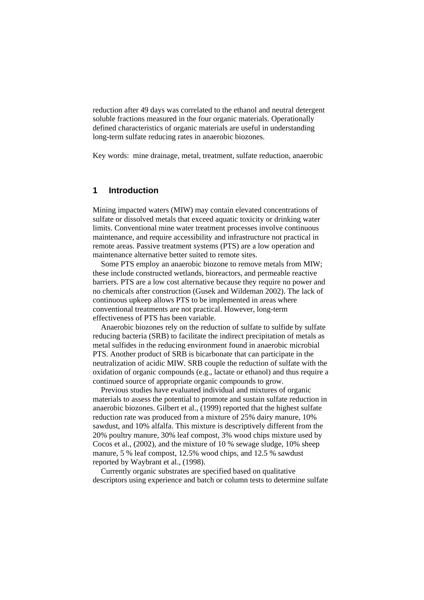reduction after 49 days was correlated to the ethanol and neutral detergent soluble fractions measured in the four organic materials. Operationally defined characteristics of organic materials are useful in understanding long-term sulfate reducing rates in anaerobic biozones.

Key words: mine drainage, metal, treatment, sulfate reduction, anaerobic

### **1 Introduction**

Mining impacted waters (MIW) may contain elevated concentrations of sulfate or dissolved metals that exceed aquatic toxicity or drinking water limits. Conventional mine water treatment processes involve continuous maintenance, and require accessibility and infrastructure not practical in remote areas. Passive treatment systems (PTS) are a low operation and maintenance alternative better suited to remote sites.

Some PTS employ an anaerobic biozone to remove metals from MIW; these include constructed wetlands, bioreactors, and permeable reactive barriers. PTS are a low cost alternative because they require no power and no chemicals after construction (Gusek and Wildeman 2002). The lack of continuous upkeep allows PTS to be implemented in areas where conventional treatments are not practical. However, long-term effectiveness of PTS has been variable.

Anaerobic biozones rely on the reduction of sulfate to sulfide by sulfate reducing bacteria (SRB) to facilitate the indirect precipitation of metals as metal sulfides in the reducing environment found in anaerobic microbial PTS. Another product of SRB is bicarbonate that can participate in the neutralization of acidic MIW. SRB couple the reduction of sulfate with the oxidation of organic compounds (e.g., lactate or ethanol) and thus require a continued source of appropriate organic compounds to grow.

Previous studies have evaluated individual and mixtures of organic materials to assess the potential to promote and sustain sulfate reduction in anaerobic biozones. Gilbert et al., (1999) reported that the highest sulfate reduction rate was produced from a mixture of 25% dairy manure, 10% sawdust, and 10% alfalfa. This mixture is descriptively different from the 20% poultry manure, 30% leaf compost, 3% wood chips mixture used by Cocos et al., (2002), and the mixture of 10 % sewage sludge, 10% sheep manure, 5 % leaf compost, 12.5% wood chips, and 12.5 % sawdust reported by Waybrant et al., (1998).

Currently organic substrates are specified based on qualitative descriptors using experience and batch or column tests to determine sulfate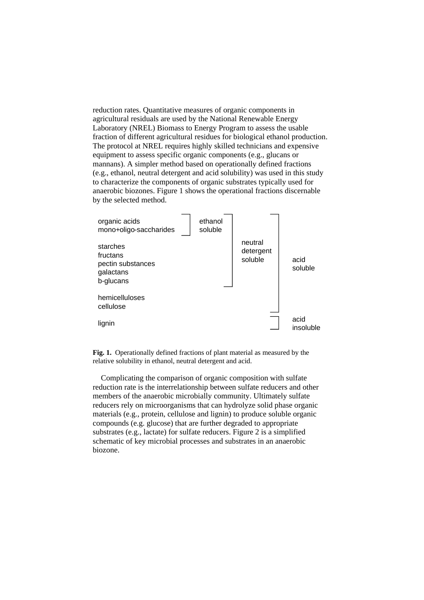reduction rates. Quantitative measures of organic components in agricultural residuals are used by the National Renewable Energy Laboratory (NREL) Biomass to Energy Program to assess the usable fraction of different agricultural residues for biological ethanol production. The protocol at NREL requires highly skilled technicians and expensive equipment to assess specific organic components (e.g., glucans or mannans). A simpler method based on operationally defined fractions (e.g., ethanol, neutral detergent and acid solubility) was used in this study to characterize the components of organic substrates typically used for anaerobic biozones. Figure 1 shows the operational fractions discernable by the selected method.



**Fig. 1.** Operationally defined fractions of plant material as measured by the relative solubility in ethanol, neutral detergent and acid.

Complicating the comparison of organic composition with sulfate reduction rate is the interrelationship between sulfate reducers and other members of the anaerobic microbially community. Ultimately sulfate reducers rely on microorganisms that can hydrolyze solid phase organic materials (e.g., protein, cellulose and lignin) to produce soluble organic compounds (e.g. glucose) that are further degraded to appropriate substrates (e.g., lactate) for sulfate reducers. Figure 2 is a simplified schematic of key microbial processes and substrates in an anaerobic biozone.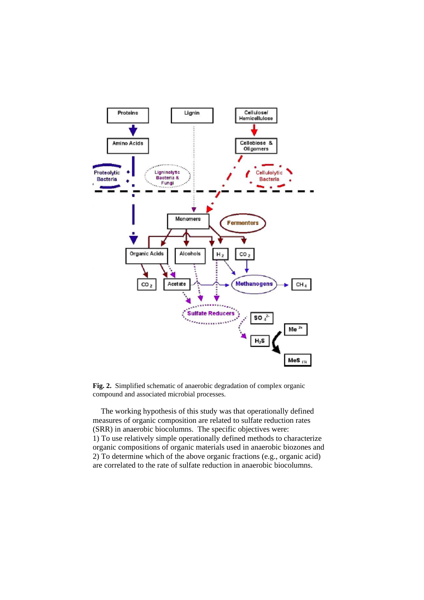

**Fig. 2.** Simplified schematic of anaerobic degradation of complex organic compound and associated microbial processes.

The working hypothesis of this study was that operationally defined measures of organic composition are related to sulfate reduction rates (SRR) in anaerobic biocolumns. The specific objectives were: 1) To use relatively simple operationally defined methods to characterize organic compositions of organic materials used in anaerobic biozones and 2) To determine which of the above organic fractions (e.g., organic acid) are correlated to the rate of sulfate reduction in anaerobic biocolumns.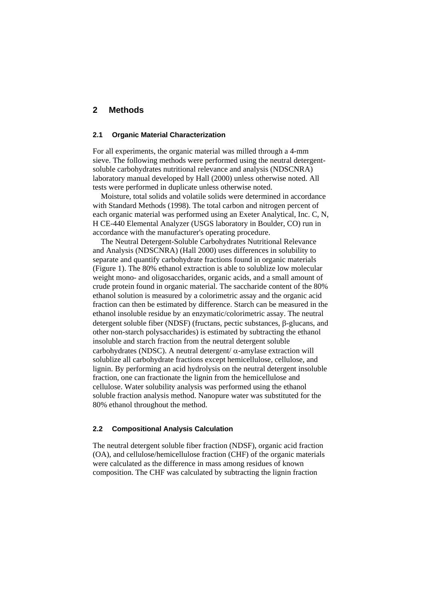## **2 Methods**

#### **2.1 Organic Material Characterization**

For all experiments, the organic material was milled through a 4-mm sieve. The following methods were performed using the neutral detergentsoluble carbohydrates nutritional relevance and analysis (NDSCNRA) laboratory manual developed by Hall (2000) unless otherwise noted. All tests were performed in duplicate unless otherwise noted.

Moisture, total solids and volatile solids were determined in accordance with Standard Methods (1998). The total carbon and nitrogen percent of each organic material was performed using an Exeter Analytical, Inc. C, N, H CE-440 Elemental Analyzer (USGS laboratory in Boulder, CO) run in accordance with the manufacturer's operating procedure.

The Neutral Detergent-Soluble Carbohydrates Nutritional Relevance and Analysis (NDSCNRA) (Hall 2000) uses differences in solubility to separate and quantify carbohydrate fractions found in organic materials (Figure 1). The 80% ethanol extraction is able to solublize low molecular weight mono- and oligosaccharides, organic acids, and a small amount of crude protein found in organic material. The saccharide content of the 80% ethanol solution is measured by a colorimetric assay and the organic acid fraction can then be estimated by difference. Starch can be measured in the ethanol insoluble residue by an enzymatic/colorimetric assay. The neutral detergent soluble fiber (NDSF) (fructans, pectic substances, β-glucans, and other non-starch polysaccharides) is estimated by subtracting the ethanol insoluble and starch fraction from the neutral detergent soluble carbohydrates (NDSC). A neutral detergent/ $\alpha$ -amylase extraction will solublize all carbohydrate fractions except hemicellulose, cellulose, and lignin. By performing an acid hydrolysis on the neutral detergent insoluble fraction, one can fractionate the lignin from the hemicellulose and cellulose. Water solubility analysis was performed using the ethanol soluble fraction analysis method. Nanopure water was substituted for the 80% ethanol throughout the method.

### **2.2 Compositional Analysis Calculation**

The neutral detergent soluble fiber fraction (NDSF), organic acid fraction (OA), and cellulose/hemicellulose fraction (CHF) of the organic materials were calculated as the difference in mass among residues of known composition. The CHF was calculated by subtracting the lignin fraction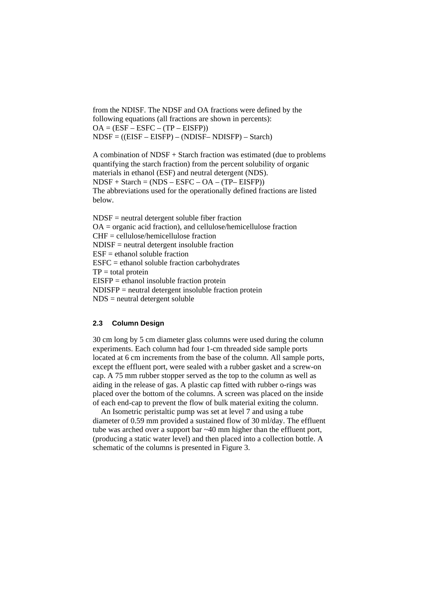from the NDISF. The NDSF and OA fractions were defined by the following equations (all fractions are shown in percents):  $OA = (ESF - ESFC - (TP - EISFP))$ NDSF = ((EISF – EISFP) – (NDISF– NDISFP) – Starch)

A combination of NDSF + Starch fraction was estimated (due to problems quantifying the starch fraction) from the percent solubility of organic materials in ethanol (ESF) and neutral detergent (NDS).  $NDSF + Starch = (NDS - ESFC - OA - (TP - EISFP))$ The abbreviations used for the operationally defined fractions are listed below.

NDSF = neutral detergent soluble fiber fraction OA = organic acid fraction), and cellulose/hemicellulose fraction CHF = cellulose/hemicellulose fraction NDISF = neutral detergent insoluble fraction  $ESF =$  ethanol soluble fraction  $ESFC = ethanol$  soluble fraction carbohydrates  $TP = total$  protein EISFP = ethanol insoluble fraction protein NDISFP = neutral detergent insoluble fraction protein NDS = neutral detergent soluble

## **2.3 Column Design**

30 cm long by 5 cm diameter glass columns were used during the column experiments. Each column had four 1-cm threaded side sample ports located at 6 cm increments from the base of the column. All sample ports, except the effluent port, were sealed with a rubber gasket and a screw-on cap. A 75 mm rubber stopper served as the top to the column as well as aiding in the release of gas. A plastic cap fitted with rubber o-rings was placed over the bottom of the columns. A screen was placed on the inside of each end-cap to prevent the flow of bulk material exiting the column.

An Isometric peristaltic pump was set at level 7 and using a tube diameter of 0.59 mm provided a sustained flow of 30 ml/day. The effluent tube was arched over a support bar ~40 mm higher than the effluent port, (producing a static water level) and then placed into a collection bottle. A schematic of the columns is presented in Figure 3.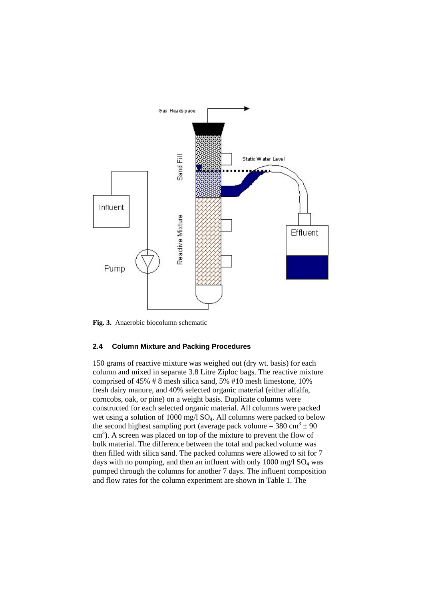

**Fig. 3.** Anaerobic biocolumn schematic

#### **2.4 Column Mixture and Packing Procedures**

150 grams of reactive mixture was weighed out (dry wt. basis) for each column and mixed in separate 3.8 Litre Ziploc bags. The reactive mixture comprised of 45% # 8 mesh silica sand, 5% #10 mesh limestone, 10% fresh dairy manure, and 40% selected organic material (either alfalfa, corncobs, oak, or pine) on a weight basis. Duplicate columns were constructed for each selected organic material. All columns were packed wet using a solution of 1000 mg/l  $SO<sub>4</sub>$ . All columns were packed to below the second highest sampling port (average pack volume =  $380 \text{ cm}^3 \pm 90$ ) cm<sup>3</sup>). A screen was placed on top of the mixture to prevent the flow of bulk material. The difference between the total and packed volume was then filled with silica sand. The packed columns were allowed to sit for 7 days with no pumping, and then an influent with only  $1000 \text{ mg/l SO}_4$  was pumped through the columns for another 7 days. The influent composition and flow rates for the column experiment are shown in Table 1. The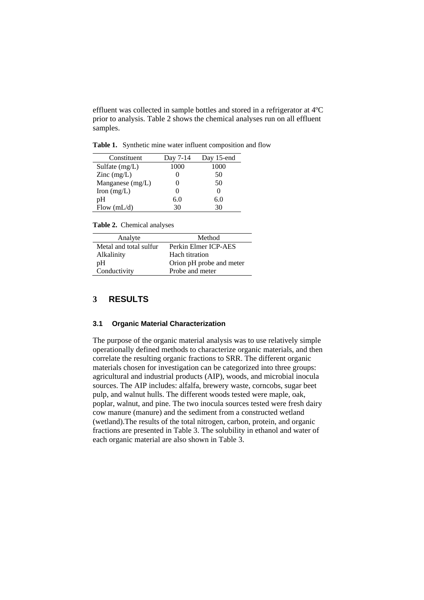effluent was collected in sample bottles and stored in a refrigerator at 4ºC prior to analysis. Table 2 shows the chemical analyses run on all effluent samples.

**Table 1.** Synthetic mine water influent composition and flow

| Constituent                              | Day 7-14 | Day 15-end |
|------------------------------------------|----------|------------|
| Sulfate $(mg/L)$                         | 1000     | 1000       |
| $\text{Zinc} \left( \text{mg/L} \right)$ |          | 50         |
| Manganese (mg/L)                         |          | 50         |
| Iron $(mg/L)$                            |          | 0          |
| pΗ                                       | 6.0      | 6.0        |
| Flow $(mL/d)$                            | 30       | 30         |

**Table 2.** Chemical analyses

| Analyte                | Method                   |
|------------------------|--------------------------|
| Metal and total sulfur | Perkin Elmer ICP-AES     |
| Alkalinity             | Hach titration           |
| pΗ                     | Orion pH probe and meter |
| Conductivity           | Probe and meter          |

#### **3 RESULTS**

#### **3.1 Organic Material Characterization**

The purpose of the organic material analysis was to use relatively simple operationally defined methods to characterize organic materials, and then correlate the resulting organic fractions to SRR. The different organic materials chosen for investigation can be categorized into three groups: agricultural and industrial products (AIP), woods, and microbial inocula sources. The AIP includes: alfalfa, brewery waste, corncobs, sugar beet pulp, and walnut hulls. The different woods tested were maple, oak, poplar, walnut, and pine. The two inocula sources tested were fresh dairy cow manure (manure) and the sediment from a constructed wetland (wetland).The results of the total nitrogen, carbon, protein, and organic fractions are presented in Table 3. The solubility in ethanol and water of each organic material are also shown in Table 3.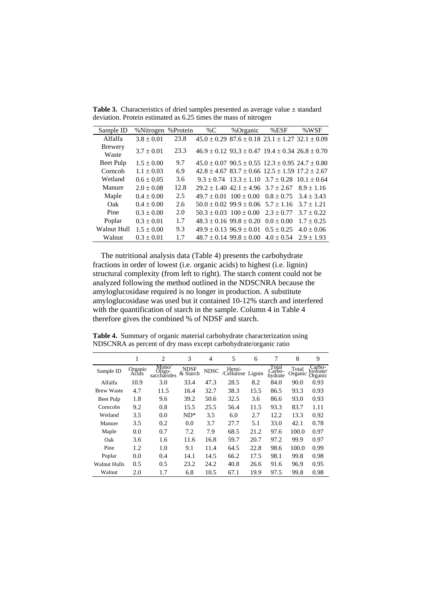| Sample ID               | % Nitrogen     | %Protein | %C | %Organic                                                        | $%$ ESF        | %WSF            |
|-------------------------|----------------|----------|----|-----------------------------------------------------------------|----------------|-----------------|
| Alfalfa                 | $3.8 \pm 0.01$ | 23.8     |    | $45.0 \pm 0.29$ 87.6 $\pm$ 0.18 23.1 $\pm$ 1.27 32.1 $\pm$ 0.09 |                |                 |
| <b>Brewery</b><br>Waste | $3.7 \pm 0.01$ | 23.3     |    | $46.9 \pm 0.12$ $93.3 \pm 0.47$ $19.4 \pm 0.34$ $26.8 \pm 0.70$ |                |                 |
| Beet Pulp               | $1.5 \pm 0.00$ | 9.7      |    | $45.0 \pm 0.07$ 90.5 $\pm$ 0.55 12.3 $\pm$ 0.95 24.7 $\pm$ 0.80 |                |                 |
| Corncob                 | $1.1 \pm 0.03$ | 6.9      |    | $42.8 \pm 4.67$ $83.7 \pm 0.66$ $12.5 \pm 1.59$ $17.2 \pm 2.67$ |                |                 |
| Wetland                 | $0.6 \pm 0.05$ | 3.6      |    | $9.3 \pm 0.74$ $13.3 \pm 1.10$ $3.7 \pm 0.28$                   |                | $10.1 \pm 0.64$ |
| Manure                  | $2.0 \pm 0.08$ | 12.8     |    | $29.2 \pm 1.40$ 42.1 $\pm$ 4.96 3.7 $\pm$ 2.67                  |                | $8.9 \pm 1.16$  |
| Maple                   | $0.4 \pm 0.00$ | 2.5      |    | $49.7 \pm 0.01$ $100 \pm 0.00$                                  | $0.8 \pm 0.75$ | $3.4 \pm 3.43$  |
| Oak                     | $0.4 \pm 0.00$ | 2.6      |    | $50.0 \pm 0.02$ 99.9 $\pm$ 0.06 $5.7 \pm 1.16$                  |                | $3.7 \pm 1.21$  |
| Pine                    | $0.3 \pm 0.00$ | 2.0      |    | $50.3 \pm 0.03$ $100 \pm 0.00$                                  | $2.3 \pm 0.77$ | $3.7 \pm 0.22$  |
| Poplar                  | $0.3 \pm 0.01$ | 1.7      |    | $48.3 \pm 0.16$ 99.8 $\pm$ 0.20                                 | $0.0 \pm 0.00$ | $1.7 \pm 0.25$  |
| Walnut Hull             | $1.5 \pm 0.00$ | 9.3      |    | $49.9 \pm 0.13$ $96.9 \pm 0.01$                                 | $0.5 \pm 0.25$ | $4.0 \pm 0.06$  |
| Walnut                  | $0.3 \pm 0.01$ | 1.7      |    | $48.7 \pm 0.14$ 99.8 $\pm$ 0.00                                 | $4.0 \pm 0.54$ | $2.9 \pm 1.93$  |

Table 3. Characteristics of dried samples presented as average value  $\pm$  standard deviation. Protein estimated as 6.25 times the mass of nitrogen

The nutritional analysis data (Table 4) presents the carbohydrate fractions in order of lowest (i.e. organic acids) to highest (i.e. lignin) structural complexity (from left to right). The starch content could not be analyzed following the method outlined in the NDSCNRA because the amyloglucosidase required is no longer in production. A substitute amyloglucosidase was used but it contained 10-12% starch and interfered with the quantification of starch in the sample. Column 4 in Table 4 therefore gives the combined % of NDSF and starch.

**Table 4.** Summary of organic material carbohydrate characterization using NDSCNRA as percent of dry mass except carbohydrate/organic ratio

|                     | 1                | $\overline{2}$                 | 3                       | $\overline{4}$ | 5                  | 6      | 7                          | 8                | 9                             |
|---------------------|------------------|--------------------------------|-------------------------|----------------|--------------------|--------|----------------------------|------------------|-------------------------------|
| Sample ID           | Organic<br>Acids | Mono/<br>Oligo-<br>saccharides | <b>NDSF</b><br>& Starch | <b>NDSC</b>    | Hemi-<br>Cellulose | Lignin | Total<br>Carbo-<br>hydrate | Total<br>Organic | Carbo-<br>hydrate/<br>Organic |
| Alfalfa             | 10.9             | 3.0                            | 33.4                    | 47.3           | 28.5               | 8.2    | 84.0                       | 90.0             | 0.93                          |
| <b>Brew Waste</b>   | 4.7              | 11.5                           | 16.4                    | 32.7           | 38.3               | 15.5   | 86.5                       | 93.3             | 0.93                          |
| Beet Pulp           | 1.8              | 9.6                            | 39.2                    | 50.6           | 32.5               | 3.6    | 86.6                       | 93.0             | 0.93                          |
| Corncobs            | 9.2              | 0.8                            | 15.5                    | 25.5           | 56.4               | 11.5   | 93.3                       | 83.7             | 1.11                          |
| Wetland             | 3.5              | 0.0                            | $ND^*$                  | 3.5            | 6.0                | 2.7    | 12.2                       | 13.3             | 0.92                          |
| Manure              | 3.5              | 0.2                            | 0.0                     | 3.7            | 27.7               | 5.1    | 33.0                       | 42.1             | 0.78                          |
| Maple               | 0.0              | 0.7                            | 7.2                     | 7.9            | 68.5               | 21.2   | 97.6                       | 100.0            | 0.97                          |
| Oak                 | 3.6              | 1.6                            | 11.6                    | 16.8           | 59.7               | 20.7   | 97.2                       | 99.9             | 0.97                          |
| Pine                | 1.2              | 1.0                            | 9.1                     | 11.4           | 64.5               | 22.8   | 98.6                       | 100.0            | 0.99                          |
| Poplar              | 0.0              | 0.4                            | 14.1                    | 14.5           | 66.2               | 17.5   | 98.1                       | 99.8             | 0.98                          |
| <b>Walnut Hulls</b> | 0.5              | 0.5                            | 23.2                    | 24.2           | 40.8               | 26.6   | 91.6                       | 96.9             | 0.95                          |
| Walnut              | 2.0              | 1.7                            | 6.8                     | 10.5           | 67.1               | 19.9   | 97.5                       | 99.8             | 0.98                          |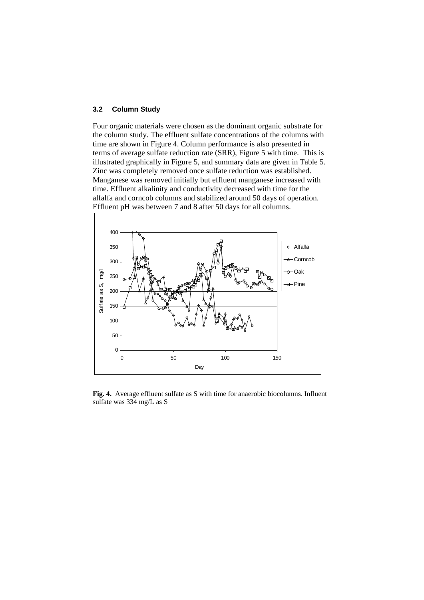#### **3.2 Column Study**

Four organic materials were chosen as the dominant organic substrate for the column study. The effluent sulfate concentrations of the columns with time are shown in Figure 4. Column performance is also presented in terms of average sulfate reduction rate (SRR), Figure 5 with time. This is illustrated graphically in Figure 5, and summary data are given in Table 5. Zinc was completely removed once sulfate reduction was established. Manganese was removed initially but effluent manganese increased with time. Effluent alkalinity and conductivity decreased with time for the alfalfa and corncob columns and stabilized around 50 days of operation. Effluent pH was between 7 and 8 after 50 days for all columns.



**Fig. 4.** Average effluent sulfate as S with time for anaerobic biocolumns. Influent sulfate was 334 mg/L as S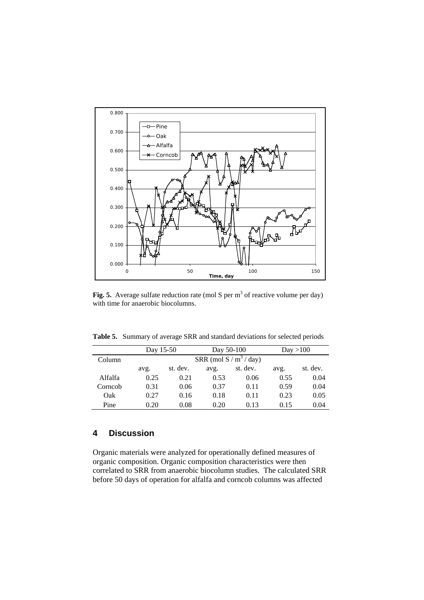

Fig. 5. Average sulfate reduction rate (mol S per  $m<sup>3</sup>$  of reactive volume per day) with time for anaerobic biocolumns.

**Table 5.** Summary of average SRR and standard deviations for selected periods

|         | Day 15-50 |                           | Day 50-100 |          | Day > 100 |          |
|---------|-----------|---------------------------|------------|----------|-----------|----------|
| Column  |           | SRR (mol S / $m^3$ / day) |            |          |           |          |
|         | avg.      | st. dev.                  | avg.       | st. dev. | avg.      | st. dev. |
| Alfalfa | 0.25      | 0.21                      | 0.53       | 0.06     | 0.55      | 0.04     |
| Corncob | 0.31      | 0.06                      | 0.37       | 0.11     | 0.59      | 0.04     |
| Oak     | 0.27      | 0.16                      | 0.18       | 0.11     | 0.23      | 0.05     |
| Pine    | 0.20      | 0.08                      | 0.20       | 0.13     | 0.15      | 0.04     |

# **4 Discussion**

Organic materials were analyzed for operationally defined measures of organic composition. Organic composition characteristics were then correlated to SRR from anaerobic biocolumn studies. The calculated SRR before 50 days of operation for alfalfa and corncob columns was affected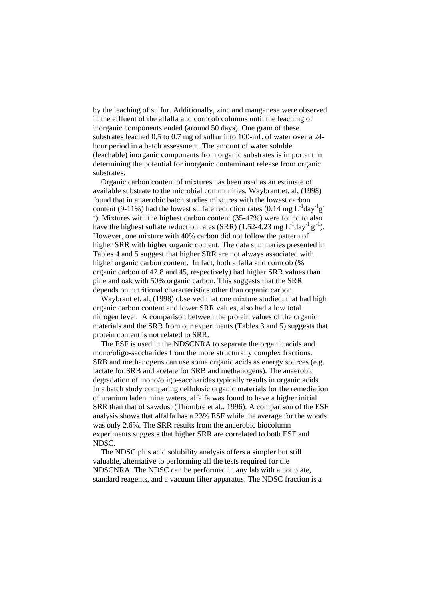by the leaching of sulfur. Additionally, zinc and manganese were observed in the effluent of the alfalfa and corncob columns until the leaching of inorganic components ended (around 50 days). One gram of these substrates leached 0.5 to 0.7 mg of sulfur into 100-mL of water over a 24 hour period in a batch assessment. The amount of water soluble (leachable) inorganic components from organic substrates is important in determining the potential for inorganic contaminant release from organic substrates.

Organic carbon content of mixtures has been used as an estimate of available substrate to the microbial communities. Waybrant et. al, (1998) found that in anaerobic batch studies mixtures with the lowest carbon content (9-11%) had the lowest sulfate reduction rates (0.14 mg  $L^{-1}$ day<sup>-1</sup>g<sup>-</sup> <sup>1</sup>). Mixtures with the highest carbon content (35-47%) were found to also have the highest sulfate reduction rates (SRR) (1.52-4.23 mg  $L^{-1}$ day<sup>-1</sup> g<sup>-1</sup>). However, one mixture with 40% carbon did not follow the pattern of higher SRR with higher organic content. The data summaries presented in Tables 4 and 5 suggest that higher SRR are not always associated with higher organic carbon content. In fact, both alfalfa and corncob (% organic carbon of 42.8 and 45, respectively) had higher SRR values than pine and oak with 50% organic carbon. This suggests that the SRR depends on nutritional characteristics other than organic carbon.

Waybrant et. al, (1998) observed that one mixture studied, that had high organic carbon content and lower SRR values, also had a low total nitrogen level. A comparison between the protein values of the organic materials and the SRR from our experiments (Tables 3 and 5) suggests that protein content is not related to SRR.

The ESF is used in the NDSCNRA to separate the organic acids and mono/oligo-saccharides from the more structurally complex fractions. SRB and methanogens can use some organic acids as energy sources (e.g. lactate for SRB and acetate for SRB and methanogens). The anaerobic degradation of mono/oligo-saccharides typically results in organic acids. In a batch study comparing cellulosic organic materials for the remediation of uranium laden mine waters, alfalfa was found to have a higher initial SRR than that of sawdust (Thombre et al., 1996). A comparison of the ESF analysis shows that alfalfa has a 23% ESF while the average for the woods was only 2.6%. The SRR results from the anaerobic biocolumn experiments suggests that higher SRR are correlated to both ESF and NDSC.

The NDSC plus acid solubility analysis offers a simpler but still valuable, alternative to performing all the tests required for the NDSCNRA. The NDSC can be performed in any lab with a hot plate, standard reagents, and a vacuum filter apparatus. The NDSC fraction is a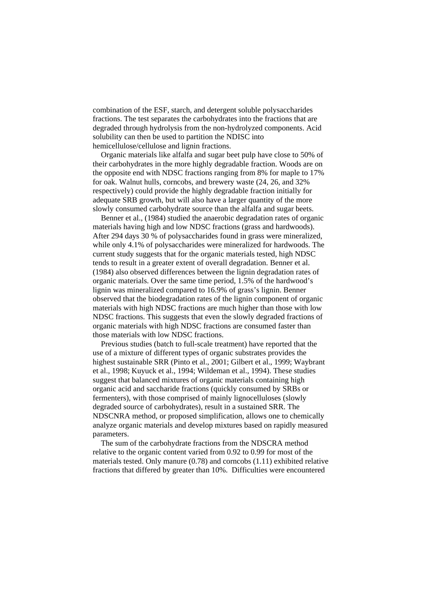combination of the ESF, starch, and detergent soluble polysaccharides fractions. The test separates the carbohydrates into the fractions that are degraded through hydrolysis from the non-hydrolyzed components. Acid solubility can then be used to partition the NDISC into hemicellulose/cellulose and lignin fractions.

Organic materials like alfalfa and sugar beet pulp have close to 50% of their carbohydrates in the more highly degradable fraction. Woods are on the opposite end with NDSC fractions ranging from 8% for maple to 17% for oak. Walnut hulls, corncobs, and brewery waste (24, 26, and 32% respectively) could provide the highly degradable fraction initially for adequate SRB growth, but will also have a larger quantity of the more slowly consumed carbohydrate source than the alfalfa and sugar beets.

Benner et al., (1984) studied the anaerobic degradation rates of organic materials having high and low NDSC fractions (grass and hardwoods). After 294 days 30 % of polysaccharides found in grass were mineralized, while only 4.1% of polysaccharides were mineralized for hardwoods. The current study suggests that for the organic materials tested, high NDSC tends to result in a greater extent of overall degradation. Benner et al. (1984) also observed differences between the lignin degradation rates of organic materials. Over the same time period, 1.5% of the hardwood's lignin was mineralized compared to 16.9% of grass's lignin. Benner observed that the biodegradation rates of the lignin component of organic materials with high NDSC fractions are much higher than those with low NDSC fractions. This suggests that even the slowly degraded fractions of organic materials with high NDSC fractions are consumed faster than those materials with low NDSC fractions.

Previous studies (batch to full-scale treatment) have reported that the use of a mixture of different types of organic substrates provides the highest sustainable SRR (Pinto et al., 2001; Gilbert et al., 1999; Waybrant et al., 1998; Kuyuck et al., 1994; Wildeman et al., 1994). These studies suggest that balanced mixtures of organic materials containing high organic acid and saccharide fractions (quickly consumed by SRBs or fermenters), with those comprised of mainly lignocelluloses (slowly degraded source of carbohydrates), result in a sustained SRR. The NDSCNRA method, or proposed simplification, allows one to chemically analyze organic materials and develop mixtures based on rapidly measured parameters.

The sum of the carbohydrate fractions from the NDSCRA method relative to the organic content varied from 0.92 to 0.99 for most of the materials tested. Only manure (0.78) and corncobs (1.11) exhibited relative fractions that differed by greater than 10%. Difficulties were encountered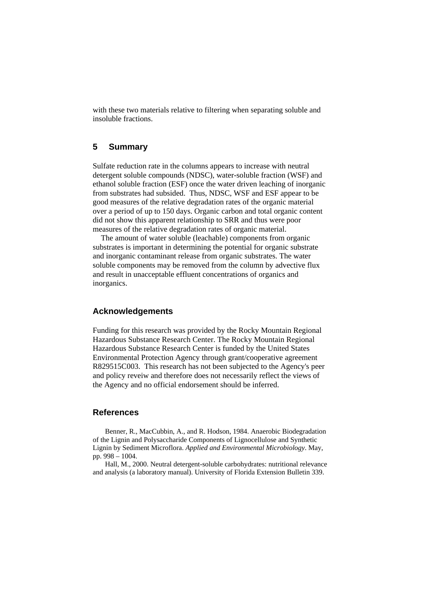with these two materials relative to filtering when separating soluble and insoluble fractions.

# **5 Summary**

Sulfate reduction rate in the columns appears to increase with neutral detergent soluble compounds (NDSC), water-soluble fraction (WSF) and ethanol soluble fraction (ESF) once the water driven leaching of inorganic from substrates had subsided. Thus, NDSC, WSF and ESF appear to be good measures of the relative degradation rates of the organic material over a period of up to 150 days. Organic carbon and total organic content did not show this apparent relationship to SRR and thus were poor measures of the relative degradation rates of organic material.

The amount of water soluble (leachable) components from organic substrates is important in determining the potential for organic substrate and inorganic contaminant release from organic substrates. The water soluble components may be removed from the column by advective flux and result in unacceptable effluent concentrations of organics and inorganics.

## **Acknowledgements**

Funding for this research was provided by the Rocky Mountain Regional Hazardous Substance Research Center. The Rocky Mountain Regional Hazardous Substance Research Center is funded by the United States Environmental Protection Agency through grant/cooperative agreement R829515C003. This research has not been subjected to the Agency's peer and policy reveiw and therefore does not necessarily reflect the views of the Agency and no official endorsement should be inferred.

### **References**

Benner, R., MacCubbin, A., and R. Hodson, 1984. Anaerobic Biodegradation of the Lignin and Polysaccharide Components of Lignocellulose and Synthetic Lignin by Sediment Microflora. *Applied and Environmental Microbiology*. May, pp. 998 – 1004.

Hall, M., 2000. Neutral detergent-soluble carbohydrates: nutritional relevance and analysis (a laboratory manual). University of Florida Extension Bulletin 339.